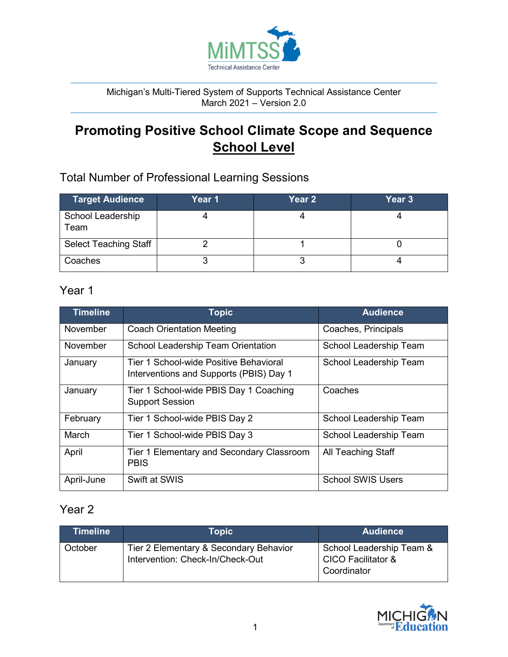

#### Michigan's Multi-Tiered System of Supports Technical Assistance Center March 2021 – Version 2.0

# **Promoting Positive School Climate Scope and Sequence School Level**

## Total Number of Professional Learning Sessions

| <b>Target Audience</b>       | Year 1 | Year 2 | Year 3 |
|------------------------------|--------|--------|--------|
| School Leadership<br>Team    |        |        |        |
| <b>Select Teaching Staff</b> |        |        |        |
| Coaches                      |        |        |        |

### Year 1

| <b>Timeline</b> | <b>Topic</b>                                                                      | <b>Audience</b>          |
|-----------------|-----------------------------------------------------------------------------------|--------------------------|
| November        | <b>Coach Orientation Meeting</b>                                                  | Coaches, Principals      |
| November        | School Leadership Team Orientation                                                | School Leadership Team   |
| January         | Tier 1 School-wide Positive Behavioral<br>Interventions and Supports (PBIS) Day 1 | School Leadership Team   |
| January         | Tier 1 School-wide PBIS Day 1 Coaching<br><b>Support Session</b>                  | Coaches                  |
| February        | Tier 1 School-wide PBIS Day 2                                                     | School Leadership Team   |
| March           | Tier 1 School-wide PBIS Day 3                                                     | School Leadership Team   |
| April           | Tier 1 Elementary and Secondary Classroom<br><b>PBIS</b>                          | All Teaching Staff       |
| April-June      | Swift at SWIS                                                                     | <b>School SWIS Users</b> |

#### Year 2

| Timeline | Topic                                                                      | <b>Audience</b>                                                          |
|----------|----------------------------------------------------------------------------|--------------------------------------------------------------------------|
| October  | Tier 2 Elementary & Secondary Behavior<br>Intervention: Check-In/Check-Out | School Leadership Team &<br><b>CICO Facilitator &amp;</b><br>Coordinator |